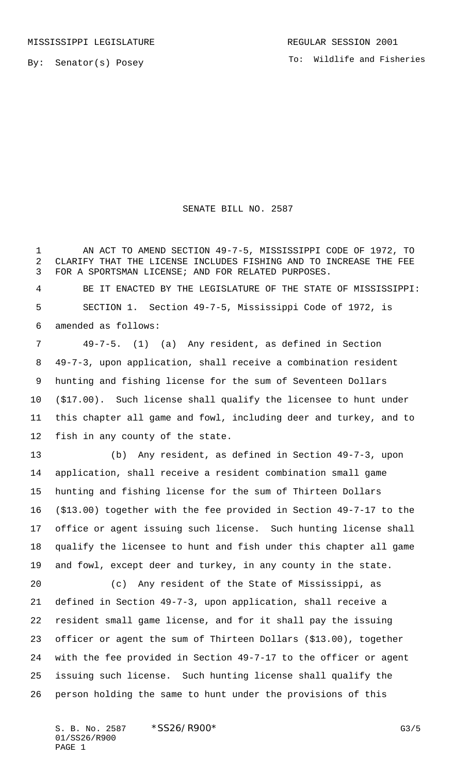By: Senator(s) Posey

## SENATE BILL NO. 2587

1 AN ACT TO AMEND SECTION 49-7-5, MISSISSIPPI CODE OF 1972, TO CLARIFY THAT THE LICENSE INCLUDES FISHING AND TO INCREASE THE FEE FOR A SPORTSMAN LICENSE; AND FOR RELATED PURPOSES.

 BE IT ENACTED BY THE LEGISLATURE OF THE STATE OF MISSISSIPPI: SECTION 1. Section 49-7-5, Mississippi Code of 1972, is amended as follows:

 49-7-5. (1) (a) Any resident, as defined in Section 49-7-3, upon application, shall receive a combination resident hunting and fishing license for the sum of Seventeen Dollars (\$17.00). Such license shall qualify the licensee to hunt under this chapter all game and fowl, including deer and turkey, and to fish in any county of the state.

 (b) Any resident, as defined in Section 49-7-3, upon application, shall receive a resident combination small game hunting and fishing license for the sum of Thirteen Dollars (\$13.00) together with the fee provided in Section 49-7-17 to the office or agent issuing such license. Such hunting license shall qualify the licensee to hunt and fish under this chapter all game and fowl, except deer and turkey, in any county in the state.

 (c) Any resident of the State of Mississippi, as defined in Section 49-7-3, upon application, shall receive a resident small game license, and for it shall pay the issuing officer or agent the sum of Thirteen Dollars (\$13.00), together with the fee provided in Section 49-7-17 to the officer or agent issuing such license. Such hunting license shall qualify the person holding the same to hunt under the provisions of this

S. B. No. 2587 \* SS26/R900\* G3/5 01/SS26/R900 PAGE 1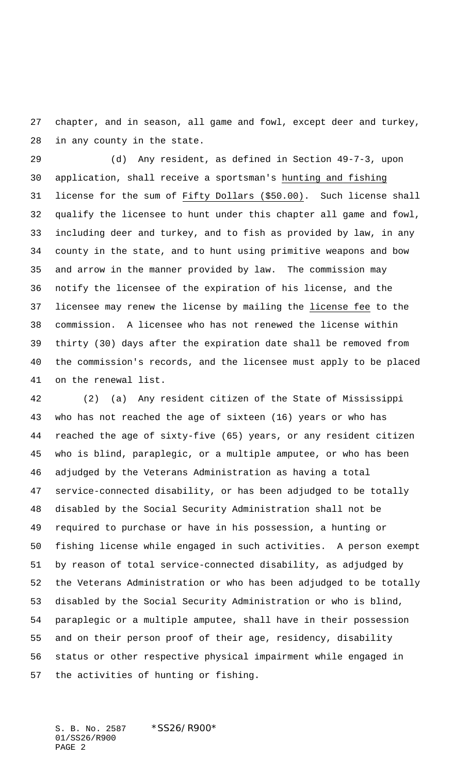chapter, and in season, all game and fowl, except deer and turkey, in any county in the state.

 (d) Any resident, as defined in Section 49-7-3, upon application, shall receive a sportsman's hunting and fishing license for the sum of Fifty Dollars (\$50.00). Such license shall qualify the licensee to hunt under this chapter all game and fowl, including deer and turkey, and to fish as provided by law, in any county in the state, and to hunt using primitive weapons and bow and arrow in the manner provided by law. The commission may notify the licensee of the expiration of his license, and the licensee may renew the license by mailing the license fee to the commission. A licensee who has not renewed the license within thirty (30) days after the expiration date shall be removed from the commission's records, and the licensee must apply to be placed on the renewal list.

 (2) (a) Any resident citizen of the State of Mississippi who has not reached the age of sixteen (16) years or who has reached the age of sixty-five (65) years, or any resident citizen who is blind, paraplegic, or a multiple amputee, or who has been adjudged by the Veterans Administration as having a total service-connected disability, or has been adjudged to be totally disabled by the Social Security Administration shall not be required to purchase or have in his possession, a hunting or fishing license while engaged in such activities. A person exempt by reason of total service-connected disability, as adjudged by the Veterans Administration or who has been adjudged to be totally disabled by the Social Security Administration or who is blind, paraplegic or a multiple amputee, shall have in their possession and on their person proof of their age, residency, disability status or other respective physical impairment while engaged in the activities of hunting or fishing.

S. B. No. 2587 \*SS26/R900\* 01/SS26/R900 PAGE 2